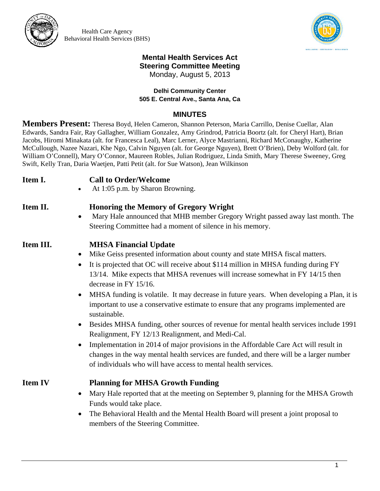

Health Care Agency Behavioral Health Services (BHS)



### **Mental Health Services Act Steering Committee Meeting**  Monday, August 5, 2013

### **Delhi Community Center 505 E. Central Ave., Santa Ana, Ca**

### **MINUTES**

**Members Present:** Theresa Boyd, Helen Cameron, Shannon Peterson, Maria Carrillo, Denise Cuellar, Alan Edwards, Sandra Fair, Ray Gallagher, William Gonzalez, Amy Grindrod, Patricia Boortz (alt. for Cheryl Hart), Brian Jacobs, Hiromi Minakata (alt. for Francesca Leal), Marc Lerner, Alyce Mastrianni, Richard McConaughy, Katherine McCullough, Nazee Nazari, Khe Ngo, Calvin Nguyen (alt. for George Nguyen), Brett O'Brien), Deby Wolford (alt. for William O'Connell), Mary O'Connor, Maureen Robles, Julian Rodriguez, Linda Smith, Mary Therese Sweeney, Greg Swift, Kelly Tran, Daria Waetjen, Patti Petit (alt. for Sue Watson), Jean Wilkinson

### **Item I. Call to Order/Welcome**

At 1:05 p.m. by Sharon Browning.

### **Item II. Honoring the Memory of Gregory Wright**

 Mary Hale announced that MHB member Gregory Wright passed away last month. The Steering Committee had a moment of silence in his memory.

# **Item III. MHSA Financial Update**

- Mike Geiss presented information about county and state MHSA fiscal matters.
- It is projected that OC will receive about \$114 million in MHSA funding during FY 13/14. Mike expects that MHSA revenues will increase somewhat in FY 14/15 then decrease in FY 15/16.
- MHSA funding is volatile. It may decrease in future years. When developing a Plan, it is important to use a conservative estimate to ensure that any programs implemented are sustainable.
- Besides MHSA funding, other sources of revenue for mental health services include 1991 Realignment, FY 12/13 Realignment, and Medi-Cal.
- Implementation in 2014 of major provisions in the Affordable Care Act will result in changes in the way mental health services are funded, and there will be a larger number of individuals who will have access to mental health services.

## **Item IV Planning for MHSA Growth Funding**

- Mary Hale reported that at the meeting on September 9, planning for the MHSA Growth Funds would take place.
- The Behavioral Health and the Mental Health Board will present a joint proposal to members of the Steering Committee.